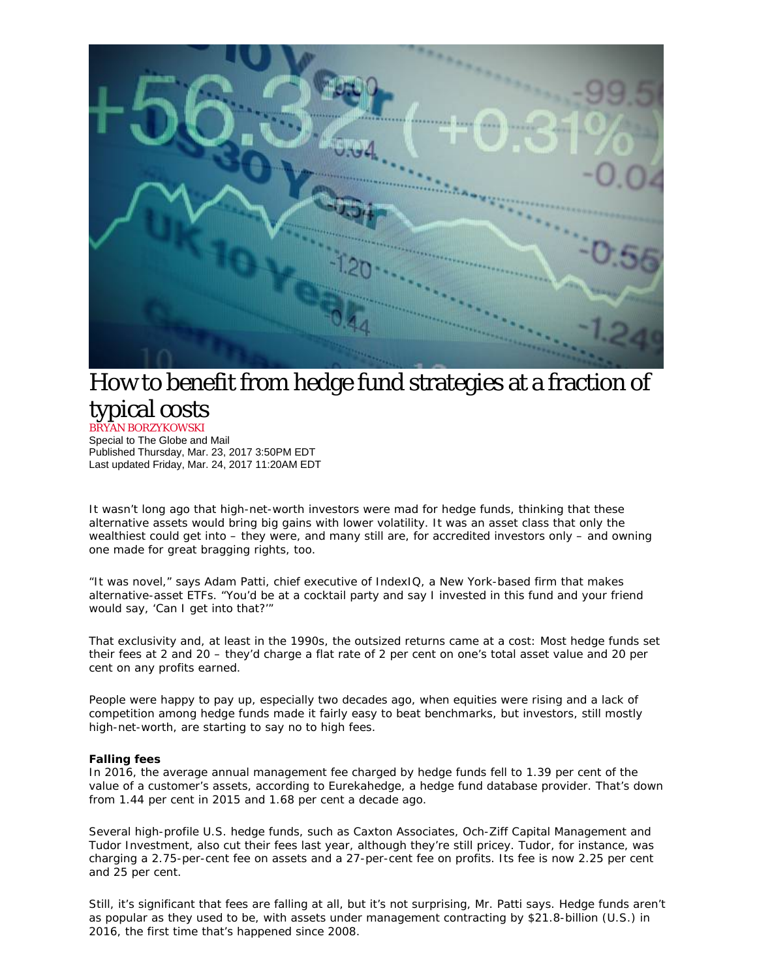

## How to benefit from hedge fund strategies at a fraction of typical costs BRYAN BORZYKOWSKI

Special to The Globe and Mail Published Thursday, Mar. 23, 2017 3:50PM EDT Last updated Friday, Mar. 24, 2017 11:20AM EDT

It wasn't long ago that high-net-worth investors were mad for hedge funds, thinking that these alternative assets would bring big gains with lower volatility. It was an asset class that only the wealthiest could get into – they were, and many still are, for accredited investors only – and owning one made for great bragging rights, too.

"It was novel," says Adam Patti, chief executive of IndexIQ, a New York-based firm that makes alternative-asset ETFs. "You'd be at a cocktail party and say I invested in this fund and your friend would say, 'Can I get into that?'"

That exclusivity and, at least in the 1990s, the outsized returns came at a cost: Most hedge funds set their fees at 2 and 20 – they'd charge a flat rate of 2 per cent on one's total asset value and 20 per cent on any profits earned.

People were happy to pay up, especially two decades ago, when equities were rising and a lack of competition among hedge funds made it fairly easy to beat benchmarks, but investors, still mostly high-net-worth, are starting to say no to high fees.

## **Falling fees**

In 2016, the average annual management fee charged by hedge funds fell to 1.39 per cent of the value of a customer's assets, according to Eurekahedge, a hedge fund database provider. That's down from 1.44 per cent in 2015 and 1.68 per cent a decade ago.

Several high-profile U.S. hedge funds, such as Caxton Associates, Och-Ziff Capital Management and Tudor Investment, also cut their fees last year, although they're still pricey. Tudor, for instance, was charging a 2.75-per-cent fee on assets and a 27-per-cent fee on profits. Its fee is now 2.25 per cent and 25 per cent.

Still, it's significant that fees are falling at all, but it's not surprising, Mr. Patti says. Hedge funds aren't as popular as they used to be, with assets under management contracting by \$21.8-billion (U.S.) in 2016, the first time that's happened since 2008.